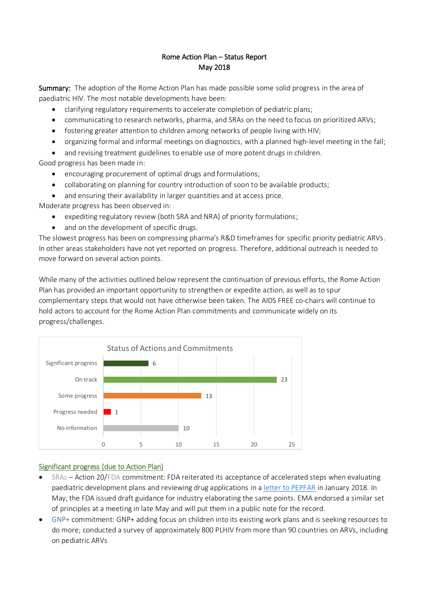# Rome Action Plan – Status Report May 2018

Summary: The adoption of the Rome Action Plan has made possible some solid progress in the area of paediatric HIV. The most notable developments have been:

- clarifying regulatory requirements to accelerate completion of pediatric plans;
- communicating to research networks, pharma, and SRAs on the need to focus on prioritized ARVs;
- fostering greater attention to children among networks of people living with HIV;
- organizing formal and informal meetings on diagnostics, with a planned high-level meeting in the fall;
- and revising treatment guidelines to enable use of more potent drugs in children.

Good progress has been made in:

- encouraging procurement of optimal drugs and formulations;
- collaborating on planning for country introduction of soon to be available products;
- and ensuring their availability in larger quantities and at access price.

Moderate progress has been observed in:

- expediting regulatory review (both SRA and NRA) of priority formulations;
- and on the development of specific drugs.

The slowest progress has been on compressing pharma's R&D timeframes for specific priority pediatric ARVs. In other areas stakeholders have not yet reported on progress. Therefore, additional outreach is needed to move forward on several action points.

While many of the activities outlined below represent the continuation of previous efforts, the Rome Action Plan has provided an important opportunity to strengthen or expedite action, as well as to spur complementary steps that would not have otherwise been taken. The AIDS FREE co-chairs will continue to hold actors to account for the Rome Action Plan commitments and communicate widely on its progress/challenges.



### Significant progress (due to Action Plan)

- SRAs Action 20/FDA commitment: FDA reiterated its acceptance of accelerated steps when evaluating paediatric development plans and reviewing drug applications in a [letter to PEPFAR](https://docs.wixstatic.com/ugd/38bdff_0d9510d17f0449d790d9f90120c7bd5a.pdf) in January 2018. In May, the FDA issued draft guidance for industry elaborating the same points. EMA endorsed a similar set of principles at a meeting in late May and will put them in a public note for the record.
- GNP+ commitment: GNP+ adding focus on children into its existing work plans and is seeking resources to do more; conducted a survey of approximately 800 PLHIV from more than 90 countries on ARVs, including on pediatric ARVs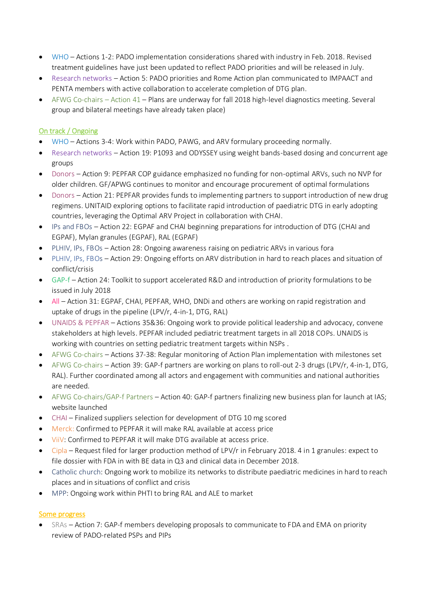- WHO Actions 1-2: PADO implementation considerations shared with industry in Feb. 2018. Revised treatment guidelines have just been updated to reflect PADO priorities and will be released in July.
- Research networks Action 5: PADO priorities and Rome Action plan communicated to IMPAACT and PENTA members with active collaboration to accelerate completion of DTG plan.
- AFWG Co-chairs Action 41 Plans are underway for fall 2018 high-level diagnostics meeting. Several group and bilateral meetings have already taken place)

## On track / Ongoing

- WHO Actions 3-4: Work within PADO, PAWG, and ARV formulary proceeding normally.
- Research networks Action 19: P1093 and ODYSSEY using weight bands-based dosing and concurrent age groups
- Donors Action 9: PEPFAR COP guidance emphasized no funding for non-optimal ARVs, such no NVP for older children. GF/APWG continues to monitor and encourage procurement of optimal formulations
- Donors Action 21: PEPFAR provides funds to implementing partners to support introduction of new drug regimens. UNITAID exploring options to facilitate rapid introduction of paediatric DTG in early adopting countries, leveraging the Optimal ARV Project in collaboration with CHAI.
- IPs and FBOs Action 22: EGPAF and CHAI beginning preparations for introduction of DTG (CHAI and EGPAF), Mylan granules (EGPAF), RAL (EGPAF)
- PLHIV, IPs, FBOs Action 28: Ongoing awareness raising on pediatric ARVs in various fora
- PLHIV, IPs, FBOs Action 29: Ongoing efforts on ARV distribution in hard to reach places and situation of conflict/crisis
- GAP-f Action 24: Toolkit to support accelerated R&D and introduction of priority formulations to be issued in July 2018
- All Action 31: EGPAF, CHAI, PEPFAR, WHO, DNDi and others are working on rapid registration and uptake of drugs in the pipeline (LPV/r, 4-in-1, DTG, RAL)
- UNAIDS & PEPFAR Actions 35&36: Ongoing work to provide political leadership and advocacy, convene stakeholders at high levels. PEPFAR included pediatric treatment targets in all 2018 COPs. UNAIDS is working with countries on setting pediatric treatment targets within NSPs .
- AFWG Co-chairs Actions 37-38: Regular monitoring of Action Plan implementation with milestones set
- AFWG Co-chairs Action 39: GAP-f partners are working on plans to roll-out 2-3 drugs (LPV/r, 4-in-1, DTG, RAL). Further coordinated among all actors and engagement with communities and national authorities are needed.
- AFWG Co-chairs/GAP-f Partners Action 40: GAP-f partners finalizing new business plan for launch at IAS; website launched
- CHAI Finalized suppliers selection for development of DTG 10 mg scored
- Merck: Confirmed to PEPFAR it will make RAL available at access price
- ViiV: Confirmed to PEPFAR it will make DTG available at access price.
- Cipla Request filed for larger production method of LPV/r in February 2018. 4 in 1 granules: expect to file dossier with FDA in with BE data in Q3 and clinical data in December 2018.
- Catholic church: Ongoing work to mobilize its networks to distribute paediatric medicines in hard to reach places and in situations of conflict and crisis
- MPP: Ongoing work within PHTI to bring RAL and ALE to market

### Some progress

 SRAs – Action 7: GAP-f members developing proposals to communicate to FDA and EMA on priority review of PADO-related PSPs and PIPs